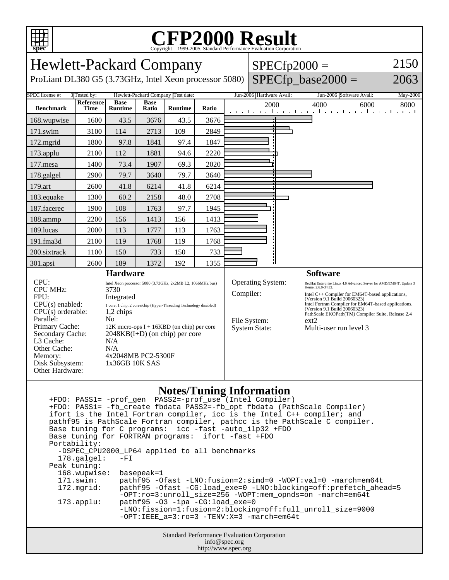

## C<sub>opyright</sub> ©1999-2005, Standard Performance Evaluation Corporation

| <b>Hewlett-Packard Company</b>                                                                                                                                                                             |                   |                                                                                                                                                                                                                                                                                                                                                                       |                      |                |       | $SPECfp2000 =$ |                                                                                                                                                                                                                                                                                                                                                                                                                                            |                      | 2150                                                            |          |
|------------------------------------------------------------------------------------------------------------------------------------------------------------------------------------------------------------|-------------------|-----------------------------------------------------------------------------------------------------------------------------------------------------------------------------------------------------------------------------------------------------------------------------------------------------------------------------------------------------------------------|----------------------|----------------|-------|----------------|--------------------------------------------------------------------------------------------------------------------------------------------------------------------------------------------------------------------------------------------------------------------------------------------------------------------------------------------------------------------------------------------------------------------------------------------|----------------------|-----------------------------------------------------------------|----------|
| ProLiant DL380 G5 (3.73GHz, Intel Xeon processor 5080)                                                                                                                                                     |                   |                                                                                                                                                                                                                                                                                                                                                                       |                      |                |       |                |                                                                                                                                                                                                                                                                                                                                                                                                                                            | $SPECfp\_base2000 =$ | 2063                                                            |          |
| SPEC license #:<br>Hewlett-Packard Company Test date:<br>3 Tested by:                                                                                                                                      |                   |                                                                                                                                                                                                                                                                                                                                                                       |                      |                |       |                | Jun-2006 Hardware Avail:                                                                                                                                                                                                                                                                                                                                                                                                                   |                      | Jun-2006 Software Avail:                                        | May-2006 |
| <b>Benchmark</b>                                                                                                                                                                                           | Reference<br>Time | <b>Base</b><br><b>Runtime</b>                                                                                                                                                                                                                                                                                                                                         | <b>Base</b><br>Ratio | <b>Runtime</b> | Ratio |                | 2000                                                                                                                                                                                                                                                                                                                                                                                                                                       |                      | 4000<br>6000<br>المتوجا وتوجا وتوجا وتوجا وتوجا وتوجا وتوجا وتو | 8000     |
| 168.wupwise                                                                                                                                                                                                | 1600              | 43.5                                                                                                                                                                                                                                                                                                                                                                  | 3676                 | 43.5           | 3676  |                |                                                                                                                                                                                                                                                                                                                                                                                                                                            |                      |                                                                 |          |
| 171.swim                                                                                                                                                                                                   | 3100              | 114                                                                                                                                                                                                                                                                                                                                                                   | 2713                 | 109            | 2849  |                |                                                                                                                                                                                                                                                                                                                                                                                                                                            |                      |                                                                 |          |
| 172.mgrid                                                                                                                                                                                                  | 1800              | 97.8                                                                                                                                                                                                                                                                                                                                                                  | 1841                 | 97.4           | 1847  |                |                                                                                                                                                                                                                                                                                                                                                                                                                                            |                      |                                                                 |          |
| 173.applu                                                                                                                                                                                                  | 2100              | 112                                                                                                                                                                                                                                                                                                                                                                   | 1881                 | 94.6           | 2220  |                |                                                                                                                                                                                                                                                                                                                                                                                                                                            |                      |                                                                 |          |
| 177.mesa                                                                                                                                                                                                   | 1400              | 73.4                                                                                                                                                                                                                                                                                                                                                                  | 1907                 | 69.3           | 2020  |                |                                                                                                                                                                                                                                                                                                                                                                                                                                            |                      |                                                                 |          |
| 178.galgel                                                                                                                                                                                                 | 2900              | 79.7                                                                                                                                                                                                                                                                                                                                                                  | 3640                 | 79.7           | 3640  |                |                                                                                                                                                                                                                                                                                                                                                                                                                                            |                      |                                                                 |          |
| 179.art                                                                                                                                                                                                    | 2600              | 41.8                                                                                                                                                                                                                                                                                                                                                                  | 6214                 | 41.8           | 6214  |                |                                                                                                                                                                                                                                                                                                                                                                                                                                            |                      |                                                                 |          |
| 183.equake                                                                                                                                                                                                 | 1300              | 60.2                                                                                                                                                                                                                                                                                                                                                                  | 2158                 | 48.0           | 2708  |                |                                                                                                                                                                                                                                                                                                                                                                                                                                            |                      |                                                                 |          |
| 187.facerec                                                                                                                                                                                                | 1900              | 108                                                                                                                                                                                                                                                                                                                                                                   | 1763                 | 97.7           | 1945  |                |                                                                                                                                                                                                                                                                                                                                                                                                                                            |                      |                                                                 |          |
| 188.ammp                                                                                                                                                                                                   | 2200              | 156                                                                                                                                                                                                                                                                                                                                                                   | 1413                 | 156            | 1413  |                |                                                                                                                                                                                                                                                                                                                                                                                                                                            |                      |                                                                 |          |
| 189.lucas                                                                                                                                                                                                  | 2000              | 113                                                                                                                                                                                                                                                                                                                                                                   | 1777                 | 113            | 1763  |                |                                                                                                                                                                                                                                                                                                                                                                                                                                            |                      |                                                                 |          |
| 191.fma3d                                                                                                                                                                                                  | 2100              | 119                                                                                                                                                                                                                                                                                                                                                                   | 1768                 | 119            | 1768  |                |                                                                                                                                                                                                                                                                                                                                                                                                                                            |                      |                                                                 |          |
| 200.sixtrack                                                                                                                                                                                               | 1100              | 150                                                                                                                                                                                                                                                                                                                                                                   | 733                  | 150            | 733   |                |                                                                                                                                                                                                                                                                                                                                                                                                                                            |                      |                                                                 |          |
| 301.apsi                                                                                                                                                                                                   | 2600              | 189                                                                                                                                                                                                                                                                                                                                                                   | 1372                 | 192            | 1355  |                |                                                                                                                                                                                                                                                                                                                                                                                                                                            |                      |                                                                 |          |
| <b>Hardware</b>                                                                                                                                                                                            |                   |                                                                                                                                                                                                                                                                                                                                                                       |                      |                |       |                |                                                                                                                                                                                                                                                                                                                                                                                                                                            |                      | <b>Software</b>                                                 |          |
| CPU:<br><b>CPU MHz:</b><br>FPU:<br>$CPU(s)$ enabled:<br>CPU(s) orderable:<br>Parallel:<br>Primary Cache:<br>Secondary Cache:<br>L3 Cache:<br>Other Cache:<br>Memory:<br>Disk Subsystem:<br>Other Hardware: |                   | Intel Xeon processor 5080 (3.73GHz, 2x2MB L2, 1066MHz bus)<br>3730<br>Integrated<br>$1\,\, {\rm core},\, 1\,\, {\rm chip},\, 2\,\, {\rm cores/chip}$ (Hyper-Threading Technology disabled)<br>$1,2$ chips<br>N <sub>0</sub><br>$12K$ micro-ops I + 16KBD (on chip) per core<br>$2048KB(I+D)$ (on chip) per core<br>N/A<br>N/A<br>4x2048MB PC2-5300F<br>1x36GB 10K SAS |                      |                |       |                | Operating System:<br>RedHat Enterprise Linux 4.0 Advanced Server for AMD/EM64T, Update 3<br>Kernel 2.6.9-34.EL<br>Compiler:<br>Intel C++ Compiler for EM64T-based applications,<br>(Version 9.1 Build 20060323)<br>Intel Fortran Compiler for EM64T-based applications,<br>(Version 9.1 Build 20060323)<br>PathScale EKOPath(TM) Compiler Suite, Release 2.4<br>File System:<br>$ext{2}$<br><b>System State:</b><br>Multi-user run level 3 |                      |                                                                 |          |

## **Notes/Tuning Information**

|                                                        | +FDO: PASS1= -fb create fbdata PASS2=-fb opt fbdata (PathScale Compiler)<br>ifort is the Intel Fortran compiler, icc is the Intel C++ compiler; and<br>pathf95 is PathScale Fortran compiler, pathcc is the PathScale C compiler. |  |  |  |  |  |  |
|--------------------------------------------------------|-----------------------------------------------------------------------------------------------------------------------------------------------------------------------------------------------------------------------------------|--|--|--|--|--|--|
| Base tuning for C programs: icc -fast -auto_ilp32 +FDO |                                                                                                                                                                                                                                   |  |  |  |  |  |  |
| Base tuning for FORTRAN programs: ifort -fast +FDO     |                                                                                                                                                                                                                                   |  |  |  |  |  |  |
| Portability:                                           |                                                                                                                                                                                                                                   |  |  |  |  |  |  |
| -DSPEC_CPU2000_LP64 applied to all benchmarks          |                                                                                                                                                                                                                                   |  |  |  |  |  |  |
| $178$ .galgel:                                         | $-FI$                                                                                                                                                                                                                             |  |  |  |  |  |  |
| Peak tuning:                                           |                                                                                                                                                                                                                                   |  |  |  |  |  |  |
| 168.wupwise:                                           | basepeak=1                                                                                                                                                                                                                        |  |  |  |  |  |  |
| 171.swim:                                              | pathf95 -Ofast -LNO: fusion=2: simd=0 -WOPT: val=0 -march=em64t                                                                                                                                                                   |  |  |  |  |  |  |
| 172.mgrid:                                             | pathf95 -Ofast -CG:load_exe=0 -LNO:blocking=off:prefetch_ahead=5<br>$-OPT:ro=3:unroll$ size=256 -WOPT:mem opnds=on -march=em64t                                                                                                   |  |  |  |  |  |  |
| $173.appendu$ :                                        | $pathf95 -03 -ipa -CG:loadexe=0$                                                                                                                                                                                                  |  |  |  |  |  |  |
|                                                        | -LNO:fission=1:fusion=2:blocking=off:full_unroll_size=9000                                                                                                                                                                        |  |  |  |  |  |  |
|                                                        | $-OPT:IERE$ a=3:ro=3 -TENV:X=3 -march=em64t                                                                                                                                                                                       |  |  |  |  |  |  |
| <b>Standard Performance Evaluation Corporation</b>     |                                                                                                                                                                                                                                   |  |  |  |  |  |  |
| info@spec.org                                          |                                                                                                                                                                                                                                   |  |  |  |  |  |  |

http://www.spec.org